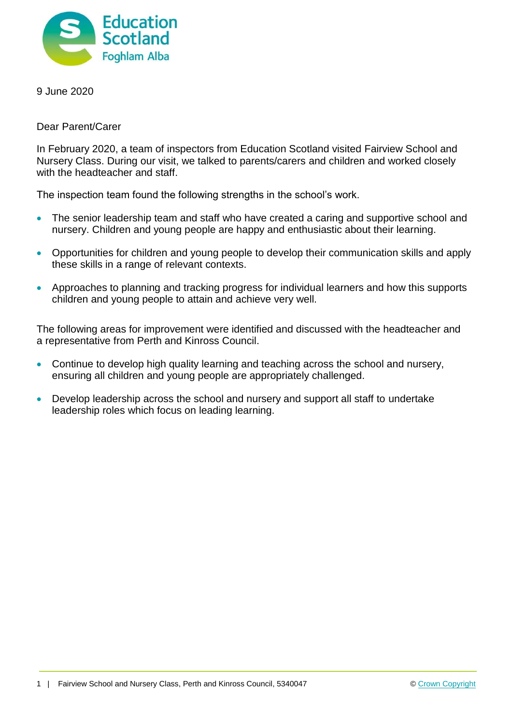

9 June 2020

Dear Parent/Carer

In February 2020, a team of inspectors from Education Scotland visited Fairview School and Nursery Class. During our visit, we talked to parents/carers and children and worked closely with the headteacher and staff.

The inspection team found the following strengths in the school's work.

- The senior leadership team and staff who have created a caring and supportive school and nursery. Children and young people are happy and enthusiastic about their learning.
- Opportunities for children and young people to develop their communication skills and apply these skills in a range of relevant contexts.
- Approaches to planning and tracking progress for individual learners and how this supports children and young people to attain and achieve very well.

The following areas for improvement were identified and discussed with the headteacher and a representative from Perth and Kinross Council.

- Continue to develop high quality learning and teaching across the school and nursery, ensuring all children and young people are appropriately challenged.
- Develop leadership across the school and nursery and support all staff to undertake leadership roles which focus on leading learning.